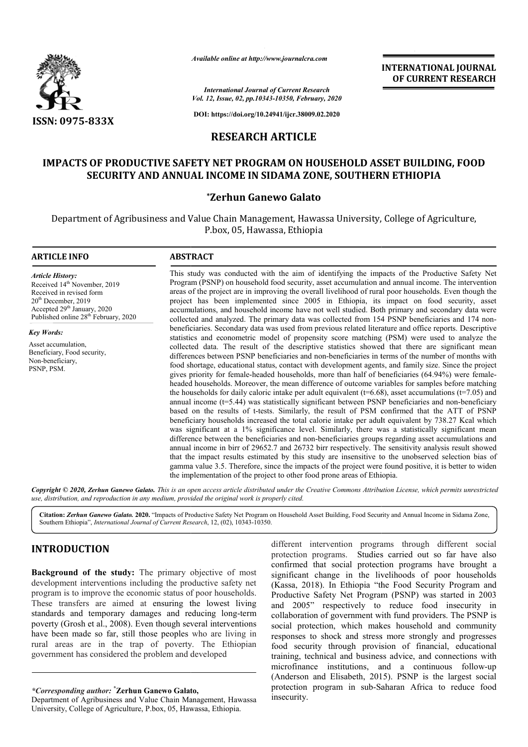

*Available online at http://www.journalcra.com*

**INTERNATIONAL JOURNAL OF CURRENT RESEARCH**

*International Journal of Current Research Vol. 12, Issue, 02, pp.10343-10350, February, 2020*

**DOI: https://doi.org/10.24941/ijcr.38009.02.2020**

# **RESEARCH ARTICLE**

# IMPACTS OF PRODUCTIVE SAFETY NET PROGRAM ON HOUSEHOLD ASSET BUILDING, FOOD<br>SECURITY AND ANNUAL INCOME IN SIDAMA ZONE, SOUTHERN ETHIOPIA **SECURITY AND ANNUAL INCOME IN SIDAMA ZONE, SOUTHERN ETHIOPIA**

## **\*Zerhun Ganewo Galato**

Department of Agribusiness and Value Chain Management, Hawassa University, College of Agriculture, P.box, 05, Hawassa, Ethiopia

#### **ARTICLE INFO ABSTRACT**

*Article History:* Received 14<sup>th</sup> November, 2019 Received in revised form 20th December, 2019 Accepted 29<sup>th</sup> January, 2020 Published online 28<sup>th</sup> February, 2020

*Key Words:* Asset accumulation, Beneficiary, Food security, Non-beneficiary, PSNP, PSM.

This study was conducted with the aim of identifying the impacts of the Productive Safety Net Program (PSNP) on household food security, asset accumulation and annual income. The intervention areas of the project are in improving the overall livelihood of rural poor households. Even though the project has been implemented since 2005 in Ethiopia, its impact on food security, asset accumulations, and household income have not well studied. Both primary and secondary data were collected and analyzed. The primary data was collected from 154 PSNP beneficiaries and 174 non beneficiaries. Secondary data was used from previous related literature and office reports. Descriptive collected and analyzed. The primary data was collected from 154 PSNP beneficiaries and 174 non-<br>beneficiaries. Secondary data was used from previous related literature and office reports. Descriptive<br>statistics and econome collected data. The result of the descriptive statistics showed that there are significant mean differences between PSNP beneficiaries and non-beneficiaries in terms of the number of months with food shortage, educational status, contact with development agents, and family size. Since the project gives priority for female female-headed households, more than half of beneficiaries (64.94%) were female headed households. Moreover, the mean difference of outcome variables for samples before matching the households for daily caloric intake per adult equivalent ( $t=6.68$ ), asset accumulations ( $t=7.05$ ) and the households for daily caloric intake per adult equivalent  $(t=6.68)$ , asset accumulations  $(t=7.05)$  and annual income  $(t=5.44)$  was statistically significant between PSNP beneficiaries and non-beneficiary based on the results of t-tests. Similarly, the result of PSM confirmed that the ATT of PSNP beneficiary households increased the total calorie intake per adult equivalent by 738.27 Kcal which was significant at a 1% significance level. Similarly, there was a statistically significant mean difference between the beneficiaries and non-beneficiaries groups regarding asset accumulations and annual income in birr of 29652.7 and 26732 birr respectively. The sensitivity analysis result showed that the impact results estimated by this study are insensitive to the unobserved selection bias of gamma value 3.5. Therefore, since the impacts of the project were found positive, it is better to widen the implementation of the project to other food prone areas of Ethiopia. This study was conducted with the aim of identifying the impacts of the Productive Safety Net Program (PSNP) on household food security, asset accumulation and annual income. The intervention areas of the project are in im beneficiaries. Secondary data was used from previous related literature and office reports. Descriptive statistics and econometric model of propensity score matching (PSM) were used to analyze the collected data. The resul beneficiary households increased the total calorie intake per adult equivalent by 738.27 Kcal which was significant at a 1% significance level. Similarly, there was a statistically significant mean difference between the b

Copyright © 2020, Zerhun Ganewo Galato. This is an open access article distributed under the Creative Commons Attribution License, which permits unrestrictea *use, distribution, and reproduction in any medium, provided the original work is properly cited.*

Citation: Zerhun Ganewo Galato. 2020. "Impacts of Productive Safety Net Program on Household Asset Building, Food Security and Annual Income in Sidama Zone, Citation: *Zerhun Ganewo Galato.* 2020. "Impacts of Productive Safety Net Program of<br>Southern Ethiopia", *International Journal of Current Research*, 12, (02), 10343-10350.

## **INTRODUCTION**

**Background of the study:** The primary objective of most development interventions including the productive safety net program is to improve the economic status of poor households. These transfers are aimed at ensuring the lowest living standards and temporary damages and reducing l long-term poverty (Grosh et al., 2008). Even though several interventions have been made so far, still those peoples who are living in rural areas are in the trap of poverty. The Ethiopian government has considered the problem and developed

*\*Corresponding author:* **\* Zerhun Ganewo Galato Galato,**

Department of Agribusiness and Value Chain Management, Hawassa University, College of Agriculture, P.box, 05, Hawassa, Ethiopia Ethiopia.

different intervention programs through different social protection programs. Studies carried out so far have also confirmed that social protection programs have brought a significant change in the livelihoods of poor households (Kassa, 2018). In Ethiopia "the Food Security Program and Productive Safety Net Program (PSNP) was started in 2003 and 2005" respectively to reduce food insecurity in collaboration of government with fund providers. The PSNP is social protection, which makes household and community responses to shock and stress more strongly and progresses food security through provision of financial, educational training, technical and business advice, and connections with microfinance institutions, and a continuous follow (Anderson and Elisabeth, 2015). PSNP is the largest social protection program in sub-Saharan Africa to reduce food protection program in sub-Saharan Africa insecurity. programs. Studies carried out so far have also that social protection programs have brought a change in the livelihoods of poor households (8). In Ethiopia "the Food Security Program and Safety Net Program (PSNP) was start protection, which makes household and community<br>less to shock and stress more strongly and progresses<br>ecurity through provision of financial, educational<br>g, technical and business advice, and connections with<br>nance institu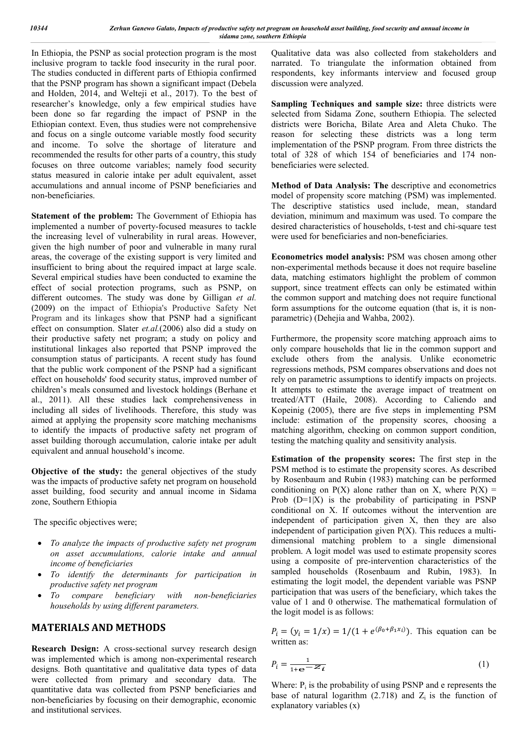In Ethiopia, the PSNP as social protection program is the most inclusive program to tackle food insecurity in the rural poor. The studies conducted in different parts of Ethiopia confirmed that the PSNP program has shown a significant impact (Debela and Holden, 2014, and Welteji et al., 2017). To the best of researcher's knowledge, only a few empirical studies have been done so far regarding the impact of PSNP in the Ethiopian context. Even, thus studies were not comprehensive and focus on a single outcome variable mostly food security and income. To solve the shortage of literature and recommended the results for other parts of a country, this study focuses on three outcome variables; namely food security status measured in calorie intake per adult equivalent, asset accumulations and annual income of PSNP beneficiaries and non-beneficiaries.

**Statement of the problem:** The Government of Ethiopia has implemented a number of poverty-focused measures to tackle the increasing level of vulnerability in rural areas. However, given the high number of poor and vulnerable in many rural areas, the coverage of the existing support is very limited and insufficient to bring about the required impact at large scale. Several empirical studies have been conducted to examine the effect of social protection programs, such as PSNP, on different outcomes. The study was done by Gilligan *et al.*  (2009) on the impact of Ethiopia's Productive Safety Net Program and its linkages show that PSNP had a significant effect on consumption. Slater *et.al.*(2006) also did a study on their productive safety net program; a study on policy and institutional linkages also reported that PSNP improved the consumption status of participants. A recent study has found that the public work component of the PSNP had a significant effect on households' food security status, improved number of children's meals consumed and livestock holdings (Berhane et al., 2011). All these studies lack comprehensiveness in including all sides of livelihoods. Therefore, this study was aimed at applying the propensity score matching mechanisms to identify the impacts of productive safety net program of asset building thorough accumulation, calorie intake per adult equivalent and annual household's income.

**Objective of the study:** the general objectives of the study was the impacts of productive safety net program on household asset building, food security and annual income in Sidama zone, Southern Ethiopia

The specific objectives were;

- *To analyze the impacts of productive safety net program on asset accumulations, calorie intake and annual income of beneficiaries*
- *To identify the determinants for participation in productive safety net program*
- *To compare beneficiary with non-beneficiaries households by using different parameters.*

## **MATERIALS AND METHODS**

**Research Design:** A cross-sectional survey research design was implemented which is among non-experimental research designs. Both quantitative and qualitative data types of data were collected from primary and secondary data. The quantitative data was collected from PSNP beneficiaries and non-beneficiaries by focusing on their demographic, economic and institutional services.

Qualitative data was also collected from stakeholders and narrated. To triangulate the information obtained from respondents, key informants interview and focused group discussion were analyzed.

**Sampling Techniques and sample size:** three districts were selected from Sidama Zone, southern Ethiopia. The selected districts were Boricha, Bilate Area and Aleta Chuko. The reason for selecting these districts was a long term implementation of the PSNP program. From three districts the total of 328 of which 154 of beneficiaries and 174 nonbeneficiaries were selected.

**Method of Data Analysis: The** descriptive and econometrics model of propensity score matching (PSM) was implemented. The descriptive statistics used include, mean, standard deviation, minimum and maximum was used. To compare the desired characteristics of households, t-test and chi-square test were used for beneficiaries and non-beneficiaries.

**Econometrics model analysis:** PSM was chosen among other non-experimental methods because it does not require baseline data, matching estimators highlight the problem of common support, since treatment effects can only be estimated within the common support and matching does not require functional form assumptions for the outcome equation (that is, it is nonparametric) (Dehejia and Wahba, 2002).

Furthermore, the propensity score matching approach aims to only compare households that lie in the common support and exclude others from the analysis. Unlike econometric regressions methods, PSM compares observations and does not rely on parametric assumptions to identify impacts on projects. It attempts to estimate the average impact of treatment on treated/ATT (Haile, 2008). According to Caliendo and Kopeinig (2005), there are five steps in implementing PSM include: estimation of the propensity scores, choosing a matching algorithm, checking on common support condition, testing the matching quality and sensitivity analysis.

**Estimation of the propensity scores:** The first step in the PSM method is to estimate the propensity scores. As described by Rosenbaum and Rubin (1983) matching can be performed conditioning on  $P(X)$  alone rather than on X, where  $P(X)$  = Prob  $(D=1|X)$  is the probability of participating in PSNP conditional on X. If outcomes without the intervention are independent of participation given X, then they are also independent of participation given  $P(X)$ . This reduces a multidimensional matching problem to a single dimensional problem. A logit model was used to estimate propensity scores using a composite of pre-intervention characteristics of the sampled households (Rosenbaum and Rubin, 1983). In estimating the logit model, the dependent variable was PSNP participation that was users of the beneficiary, which takes the value of 1 and 0 otherwise. The mathematical formulation of the logit model is as follows:

 $P_i = (y_i = 1/x) = 1/(1 + e^{(\beta_0 + \beta_1 x_i)})$ . This equation can be written as:

$$
P_i = \frac{1}{1 + e^{-Z} i}
$$
 (1)

Where:  $P_i$  is the probability of using PSNP and e represents the base of natural logarithm  $(2.718)$  and  $Z_i$  is the function of explanatory variables (x)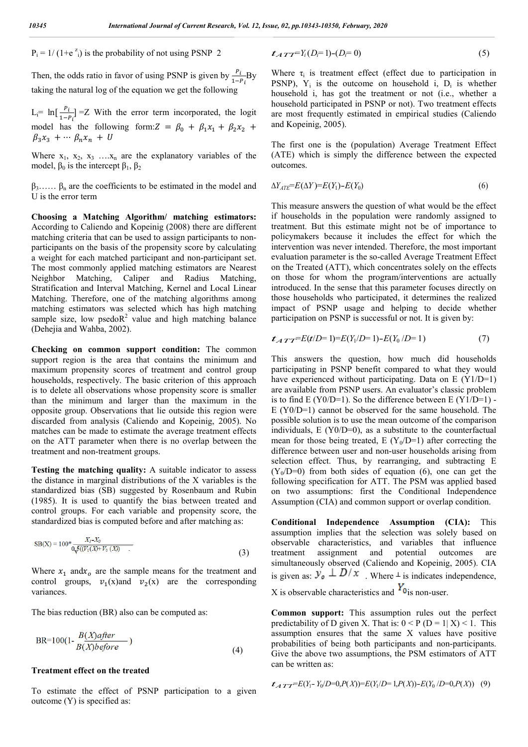$P_i = 1/(1+e^{z_i})$  is the probability of not using PSNP 2

Then, the odds ratio in favor of using PSNP is given by  $\frac{P_i}{1-P_i}By$ taking the natural log of the equation we get the following

 $L_i = \ln[\frac{P_i}{1-P_i}]$  = Z With the error term incorporated, the logit model has the following form:  $Z = \beta_0 + \beta_1 x_1 + \beta_2 x_2 +$  $\beta_3 x_3 + \cdots \beta_n x_n + U$ 

Where  $x_1, x_2, x_3, \ldots, x_n$  are the explanatory variables of the model,  $β_0$  is the intercept  $β_1$ ,  $β_2$ 

 $\beta_3$ .....  $\beta_n$  are the coefficients to be estimated in the model and U is the error term

**Choosing a Matching Algorithm/ matching estimators:**  According to Caliendo and Kopeinig (2008) there are different matching criteria that can be used to assign participants to nonparticipants on the basis of the propensity score by calculating a weight for each matched participant and non-participant set. The most commonly applied matching estimators are Nearest Neighbor Matching, Caliper and Radius Matching, Stratification and Interval Matching, Kernel and Local Linear Matching. Therefore, one of the matching algorithms among matching estimators was selected which has high matching sample size, low psedo $R^2$  value and high matching balance (Dehejia and Wahba, 2002).

**Checking on common support condition:** The common support region is the area that contains the minimum and maximum propensity scores of treatment and control group households, respectively. The basic criterion of this approach is to delete all observations whose propensity score is smaller than the minimum and larger than the maximum in the opposite group. Observations that lie outside this region were discarded from analysis (Caliendo and Kopeinig, 2005). No matches can be made to estimate the average treatment effects on the ATT parameter when there is no overlap between the treatment and non-treatment groups.

**Testing the matching quality:** A suitable indicator to assess the distance in marginal distributions of the X variables is the standardized bias (SB) suggested by Rosenbaum and Rubin (1985). It is used to quantify the bias between treated and control groups. For each variable and propensity score, the standardized bias is computed before and after matching as:

$$
SB(X) = 100^* \frac{X_I - X_0}{0\sqrt{5((V_1(X) + V_0(X))}}
$$
\n(3)

Where  $x_1$  and  $x_0$  are the sample means for the treatment and control groups,  $v_1(x)$  and  $v_2(x)$  are the corresponding variances.

The bias reduction (BR) also can be computed as:

$$
BR = 100(1 - \frac{B(X)after}{B(X)before})
$$
\n(4)

#### **Treatment effect on the treated**

To estimate the effect of PSNP participation to a given outcome (Y) is specified as:

$$
t_{ATT} = Y_i (D_i = 1) - (D_i = 0)
$$
\n<sup>(5)</sup>

Where  $\tau_i$  is treatment effect (effect due to participation in PSNP),  $Y_i$  is the outcome on household i,  $D_i$  is whether household i, has got the treatment or not (i.e., whether a household participated in PSNP or not). Two treatment effects are most frequently estimated in empirical studies (Caliendo and Kopeinig, 2005).

The first one is the (population) Average Treatment Effect (ATE) which is simply the difference between the expected outcomes.

$$
\Delta Y_{ATE} = E(\Delta Y) = E(Y_1) - E(Y_0)
$$
\n<sup>(6)</sup>

This measure answers the question of what would be the effect if households in the population were randomly assigned to treatment. But this estimate might not be of importance to policymakers because it includes the effect for which the intervention was never intended. Therefore, the most important evaluation parameter is the so-called Average Treatment Effect on the Treated (ATT), which concentrates solely on the effects on those for whom the program/interventions are actually introduced. In the sense that this parameter focuses directly on those households who participated, it determines the realized impact of PSNP usage and helping to decide whether participation on PSNP is successful or not. It is given by:

$$
t_{ATT} = E(t/D=1) = E(Y_1/D=1) - E(Y_0/D=1)
$$
\n(7)

This answers the question, how much did households participating in PSNP benefit compared to what they would have experienced without participating. Data on E (Y1/D=1) are available from PSNP users. An evaluator's classic problem is to find  $E(Y0/D=1)$ . So the difference between  $E(Y1/D=1)$  -E (Y0/D=1) cannot be observed for the same household. The possible solution is to use the mean outcome of the comparison individuals, E (Y0/D=0), as a substitute to the counterfactual mean for those being treated, E ( $Y_0/D=1$ ) after correcting the difference between user and non-user households arising from selection effect. Thus, by rearranging, and subtracting E  $(Y_0/D=0)$  from both sides of equation (6), one can get the following specification for ATT. The PSM was applied based on two assumptions: first the Conditional Independence Assumption (CIA) and common support or overlap condition.

**Conditional Independence Assumption (CIA):** This assumption implies that the selection was solely based on observable characteristics, and variables that influence treatment assignment and potential outcomes are simultaneously observed (Caliendo and Kopeinig, 2005). CIA is given as:  $y_o \perp D/x$  Where  $\perp$  is indicates independence, X is observable characteristics and  $Y_{\text{o}}$  is non-user.

**Common support:** This assumption rules out the perfect predictability of D given X. That is:  $0 < P$  (D = 1| X) < 1. This assumption ensures that the same X values have positive probabilities of being both participants and non-participants. Give the above two assumptions, the PSM estimators of ATT can be written as:

$$
\mathcal{L}_{ATT} = E(Y_1 - Y_0/D = 0, P(X)) = E(Y_1/D = 1, P(X)) - E(Y_0/D = 0, P(X)) \quad (9)
$$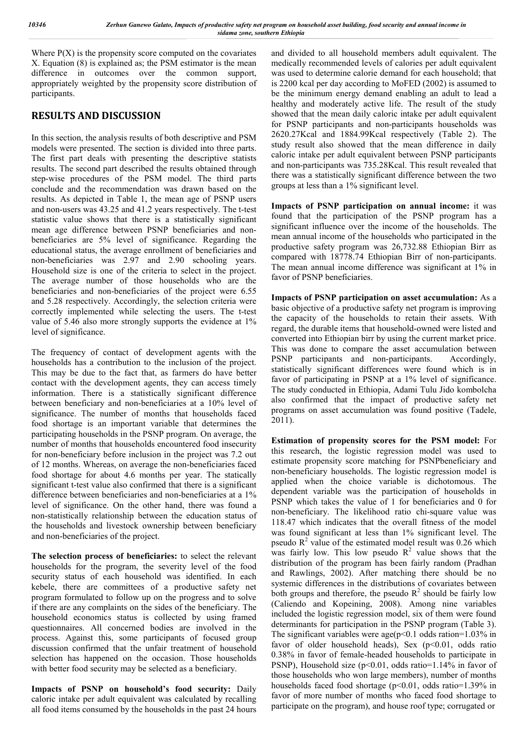Where  $P(X)$  is the propensity score computed on the covariates X. Equation (8) is explained as; the PSM estimator is the mean difference in outcomes over the common support, appropriately weighted by the propensity score distribution of participants.

# **RESULTS AND DISCUSSION**

In this section, the analysis results of both descriptive and PSM models were presented. The section is divided into three parts. The first part deals with presenting the descriptive statists results. The second part described the results obtained through step-wise procedures of the PSM model. The third parts conclude and the recommendation was drawn based on the results. As depicted in Table 1, the mean age of PSNP users and non-users was 43.25 and 41.2 years respectively. The t-test statistic value shows that there is a statistically significant mean age difference between PSNP beneficiaries and nonbeneficiaries are 5% level of significance. Regarding the educational status, the average enrollment of beneficiaries and non-beneficiaries was 2.97 and 2.90 schooling years. Household size is one of the criteria to select in the project. The average number of those households who are the beneficiaries and non-beneficiaries of the project were 6.55 and 5.28 respectively. Accordingly, the selection criteria were correctly implemented while selecting the users. The t-test value of 5.46 also more strongly supports the evidence at 1% level of significance.

The frequency of contact of development agents with the households has a contribution to the inclusion of the project. This may be due to the fact that, as farmers do have better contact with the development agents, they can access timely information. There is a statistically significant difference between beneficiary and non-beneficiaries at a 10% level of significance. The number of months that households faced food shortage is an important variable that determines the participating households in the PSNP program. On average, the number of months that households encountered food insecurity for non-beneficiary before inclusion in the project was 7.2 out of 12 months. Whereas, on average the non-beneficiaries faced food shortage for about 4.6 months per year. The statically significant t-test value also confirmed that there is a significant difference between beneficiaries and non-beneficiaries at a 1% level of significance. On the other hand, there was found a non-statistically relationship between the education status of the households and livestock ownership between beneficiary and non-beneficiaries of the project.

**The selection process of beneficiaries:** to select the relevant households for the program, the severity level of the food security status of each household was identified. In each kebele, there are committees of a productive safety net program formulated to follow up on the progress and to solve if there are any complaints on the sides of the beneficiary. The household economics status is collected by using framed questionnaires. All concerned bodies are involved in the process. Against this, some participants of focused group discussion confirmed that the unfair treatment of household selection has happened on the occasion. Those households with better food security may be selected as a beneficiary.

**Impacts of PSNP on household's food security:** Daily caloric intake per adult equivalent was calculated by recalling all food items consumed by the households in the past 24 hours and divided to all household members adult equivalent. The medically recommended levels of calories per adult equivalent was used to determine calorie demand for each household; that is 2200 kcal per day according to MoFED (2002) is assumed to be the minimum energy demand enabling an adult to lead a healthy and moderately active life. The result of the study showed that the mean daily caloric intake per adult equivalent for PSNP participants and non-participants households was 2620.27Kcal and 1884.99Kcal respectively (Table 2). The study result also showed that the mean difference in daily caloric intake per adult equivalent between PSNP participants and non-participants was 735.28Kcal. This result revealed that there was a statistically significant difference between the two groups at less than a 1% significant level.

**Impacts of PSNP participation on annual income:** it was found that the participation of the PSNP program has a significant influence over the income of the households. The mean annual income of the households who participated in the productive safety program was 26,732.88 Ethiopian Birr as compared with 18778.74 Ethiopian Birr of non-participants. The mean annual income difference was significant at 1% in favor of PSNP beneficiaries.

**Impacts of PSNP participation on asset accumulation:** As a basic objective of a productive safety net program is improving the capacity of the households to retain their assets. With regard, the durable items that household-owned were listed and converted into Ethiopian birr by using the current market price. This was done to compare the asset accumulation between PSNP participants and non-participants. Accordingly, statistically significant differences were found which is in favor of participating in PSNP at a 1% level of significance. The study conducted in Ethiopia, Adami Tulu Jido kombolcha also confirmed that the impact of productive safety net programs on asset accumulation was found positive (Tadele, 2011).

**Estimation of propensity scores for the PSM model:** For this research, the logistic regression model was used to estimate propensity score matching for PSNPbeneficiary and non-beneficiary households. The logistic regression model is applied when the choice variable is dichotomous. The dependent variable was the participation of households in PSNP which takes the value of 1 for beneficiaries and 0 for non-beneficiary. The likelihood ratio chi-square value was 118.47 which indicates that the overall fitness of the model was found significant at less than 1% significant level. The pseudo  $R^2$  value of the estimated model result was 0.26 which was fairly low. This low pseudo  $R^2$  value shows that the distribution of the program has been fairly random (Pradhan and Rawlings, 2002). After matching there should be no systemic differences in the distributions of covariates between both groups and therefore, the pseudo  $R^2$  should be fairly low (Caliendo and Kopeining, 2008). Among nine variables included the logistic regression model, six of them were found determinants for participation in the PSNP program (Table 3). The significant variables were age( $p<0.1$  odds ration=1.03% in favor of older household heads), Sex  $(p<0.01$ , odds ratio 0.38% in favor of female-headed households to participate in PSNP), Household size (p<0.01, odds ratio=1.14% in favor of those households who won large members), number of months households faced food shortage (p<0.01, odds ratio=1.39% in favor of more number of months who faced food shortage to participate on the program), and house roof type; corrugated or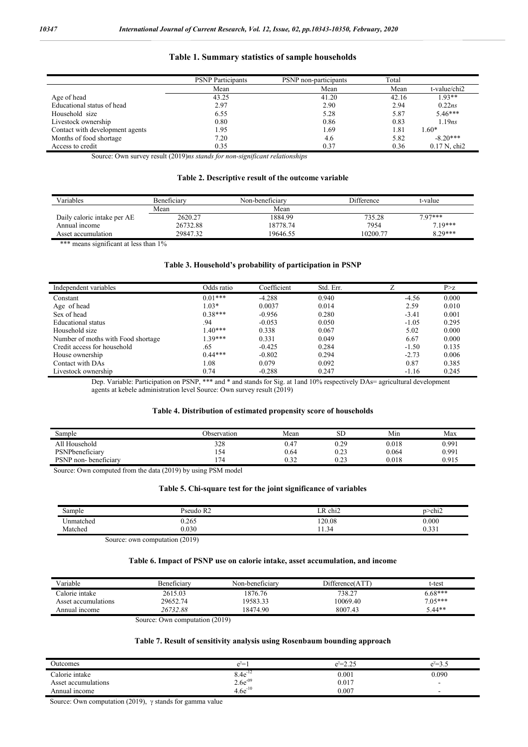#### **Table 1. Summary statistics of sample households**

|                                 | <b>PSNP</b> Participants | PSNP non-participants | Total |                            |
|---------------------------------|--------------------------|-----------------------|-------|----------------------------|
|                                 | Mean                     | Mean                  | Mean  | t-value/chi2               |
| Age of head                     | 43.25                    | 41.20                 | 42.16 | $1.93**$                   |
| Educational status of head      | 2.97                     | 2.90                  | 2.94  | 0.22ns                     |
| Household size                  | 6.55                     | 5.28                  | 5.87  | $5.46***$                  |
| Livestock ownership             | 0.80                     | 0.86                  | 0.83  | 1.19ns                     |
| Contact with development agents | 1.95                     | 1.69                  | 1.81  | $1.60*$                    |
| Months of food shortage         | 7.20                     | 4.6                   | 5.82  | $-8.20***$                 |
| Access to credit                | 0.35                     | 0.37                  | 0.36  | $0.17$ N, chi <sub>2</sub> |

Source: Own survey result (2019)*ns stands for non-significant relationships*

#### **Table 2. Descriptive result of the outcome variable**

| Variables                   | Beneficiary | Non-beneficiary | Difference | t-value   |
|-----------------------------|-------------|-----------------|------------|-----------|
|                             | Mean        | Mean            |            |           |
| Daily caloric intake per AE | 2620.27     | 1884.99         | 735.28     | $797***$  |
| Annual income               | 26732.88    | 18778.74        | 7954       | $7.19***$ |
| Asset accumulation          | 29847.32    | 19646.55        | 10200.77   | $8.29***$ |

\*\*\* means significant at less than 1%

#### **Table 3. Household's probability of participation in PSNP**

| Independent variables              | Odds ratio | Coefficient | Std. Err. |         | P > z |
|------------------------------------|------------|-------------|-----------|---------|-------|
| Constant                           | $0.01***$  | $-4.288$    | 0.940     | $-4.56$ | 0.000 |
| Age of head                        | $1.03*$    | 0.0037      | 0.014     | 2.59    | 0.010 |
| Sex of head                        | $0.38***$  | $-0.956$    | 0.280     | $-3.41$ | 0.001 |
| Educational status                 | .94        | $-0.053$    | 0.050     | $-1.05$ | 0.295 |
| Household size                     | $1.40***$  | 0.338       | 0.067     | 5.02    | 0.000 |
| Number of moths with Food shortage | $1.39***$  | 0.331       | 0.049     | 6.67    | 0.000 |
| Credit access for household        | .65        | $-0.425$    | 0.284     | $-1.50$ | 0.135 |
| House ownership                    | $0.44***$  | $-0.802$    | 0.294     | $-2.73$ | 0.006 |
| Contact with DAs                   | 1.08       | 0.079       | 0.092     | 0.87    | 0.385 |
| Livestock ownership                | 0.74       | $-0.288$    | 0.247     | $-1.16$ | 0.245 |

Dep. Variable: Participation on PSNP, \*\*\* and \* and stands for Sig. at 1and 10% respectively DAs= agricultural development agents at kebele administration level Source: Own survey result (2019)

#### **Table 4. Distribution of estimated propensity score of households**

| Sample               | Observation | Mean | <b>SD</b>    | Min   | Max   |
|----------------------|-------------|------|--------------|-------|-------|
| All Household        | 328         | 0.47 | 0.29         | 0.018 | 0.991 |
| PSNPbeneficiary      | 154         | 0.64 | ሰ ጎን<br>∪.∠J | 0.064 | 0.991 |
| PSNP non-beneficiary | 74          | 0.32 | ົາ<br>∪.∠J   | 0.018 | 0.915 |

Source: Own computed from the data (2019) by using PSM model

#### **Table 5. Chi-square test for the joint significance of variables**

| Sample    | Pseudo R2                                    | $\cdot$<br>. R<br>chi∠ | 2>chi   |
|-----------|----------------------------------------------|------------------------|---------|
| Jnmatched | 0.265                                        | 120.08                 | 0.000   |
| Matched   | 0.030                                        | $\sim$<br>.1.34        | U.S.S.I |
|           | $S_{\text{outark}}$ and computation $(2010)$ |                        |         |

Source: own computation (2019)

#### **Table 6. Impact of PSNP use on calorie intake, asset accumulation, and income**

| Variable            | <b>Beneficiary</b> | Non-beneficiary                    | Difference(AT1 | t-test    |
|---------------------|--------------------|------------------------------------|----------------|-----------|
| Calorie intake      | 2615.03            | 1876.76                            | 738.27         | $6.68***$ |
| Asset accumulations | 29652.74           | 19583.33                           | 10069.40       | $7.05***$ |
| Annual income       | 26732.88           | 18474.90                           | 8007.43        | $5.44**$  |
|                     | -<br>$\sim$        | $\sim$ $\sim$ $\sim$ $\sim$ $\sim$ |                |           |

Source: Own computation (2019)

#### **Table 7. Result of sensitivity analysis using Rosenbaum bounding approach**

| Outcomes            | $\mathbf{P}^i$ | $\lnot$<br>$\mathbf{P}^i$<br>---- | $\Delta$ i $-$<br>. .<br>. |
|---------------------|----------------|-----------------------------------|----------------------------|
| Calorie intake      | $-1$<br>8.4e   | 0.001                             | 0.090                      |
| Asset accumulations | $2.6e^{-09}$   | 0.017                             |                            |
| Annual income       | $4.6e^{-10}$   | 0.007                             |                            |

Source: Own computation (2019),  $\gamma$  stands for gamma value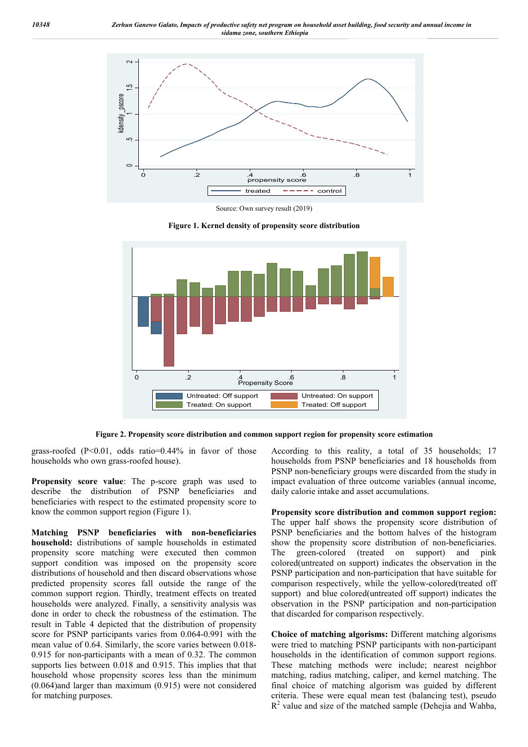

Source: Own survey result (2019)

**Figure 1. Kernel density of propensity score distribution**



**Figure 2. Propensity score distribution and common support region for propensity score estimation**

grass-roofed  $(P<0.01$ , odds ratio=0.44% in favor of those households who own grass-roofed house).

**Propensity score value**: The p-score graph was used to describe the distribution of PSNP beneficiaries and beneficiaries with respect to the estimated propensity score to know the common support region (Figure 1).

**Matching PSNP beneficiaries with non-beneficiaries household:** distributions of sample households in estimated propensity score matching were executed then common support condition was imposed on the propensity score distributions of household and then discard observations whose predicted propensity scores fall outside the range of the common support region. Thirdly, treatment effects on treated households were analyzed. Finally, a sensitivity analysis was done in order to check the robustness of the estimation. The result in Table 4 depicted that the distribution of propensity score for PSNP participants varies from 0.064-0.991 with the mean value of 0.64. Similarly, the score varies between 0.018- 0.915 for non-participants with a mean of 0.32. The common supports lies between 0.018 and 0.915. This implies that that household whose propensity scores less than the minimum (0.064)and larger than maximum (0.915) were not considered for matching purposes.

According to this reality, a total of 35 households; 17 households from PSNP beneficiaries and 18 households from PSNP non-beneficiary groups were discarded from the study in impact evaluation of three outcome variables (annual income, daily calorie intake and asset accumulations.

**Propensity score distribution and common support region:**  The upper half shows the propensity score distribution of PSNP beneficiaries and the bottom halves of the histogram show the propensity score distribution of non-beneficiaries. The green-colored (treated on support) and pink colored(untreated on support) indicates the observation in the PSNP participation and non-participation that have suitable for comparison respectively, while the yellow-colored(treated off support) and blue colored(untreated off support) indicates the observation in the PSNP participation and non-participation that discarded for comparison respectively.

**Choice of matching algorisms:** Different matching algorisms were tried to matching PSNP participants with non-participant households in the identification of common support regions. These matching methods were include; nearest neighbor matching, radius matching, caliper, and kernel matching. The final choice of matching algorism was guided by different criteria. These were equal mean test (balancing test), pseudo  $R<sup>2</sup>$  value and size of the matched sample (Dehejia and Wahba,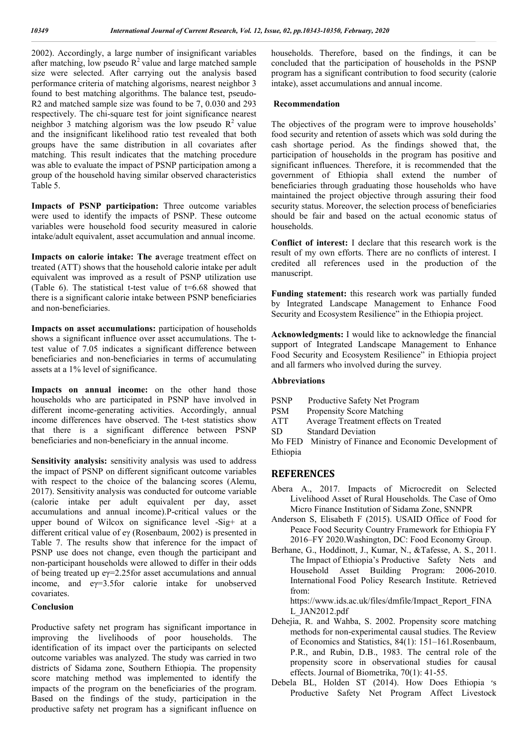2002). Accordingly, a large number of insignificant variables after matching, low pseudo  $R^2$  value and large matched sample size were selected. After carrying out the analysis based performance criteria of matching algorisms, nearest neighbor 3 found to best matching algorithms. The balance test, pseudo-R2 and matched sample size was found to be 7, 0.030 and 293 respectively. The chi-square test for joint significance nearest neighbor 3 matching algorism was the low pseudo  $R^2$  value and the insignificant likelihood ratio test revealed that both groups have the same distribution in all covariates after matching. This result indicates that the matching procedure was able to evaluate the impact of PSNP participation among a group of the household having similar observed characteristics Table 5.

**Impacts of PSNP participation:** Three outcome variables were used to identify the impacts of PSNP. These outcome variables were household food security measured in calorie intake/adult equivalent, asset accumulation and annual income.

**Impacts on calorie intake: The a**verage treatment effect on treated (ATT) shows that the household calorie intake per adult equivalent was improved as a result of PSNP utilization use (Table 6). The statistical t-test value of  $t=6.68$  showed that there is a significant calorie intake between PSNP beneficiaries and non-beneficiaries.

**Impacts on asset accumulations:** participation of households shows a significant influence over asset accumulations. The ttest value of 7.05 indicates a significant difference between beneficiaries and non-beneficiaries in terms of accumulating assets at a 1% level of significance.

Impacts on annual income: on the other hand those households who are participated in PSNP have involved in different income-generating activities. Accordingly, annual income differences have observed. The t-test statistics show that there is a significant difference between PSNP beneficiaries and non-beneficiary in the annual income.

**Sensitivity analysis:** sensitivity analysis was used to address the impact of PSNP on different significant outcome variables with respect to the choice of the balancing scores (Alemu, 2017). Sensitivity analysis was conducted for outcome variable (calorie intake per adult equivalent per day, asset accumulations and annual income).P-critical values or the upper bound of Wilcox on significance level -Sig+ at a different critical value of eγ (Rosenbaum, 2002) is presented in Table 7. The results show that inference for the impact of PSNP use does not change, even though the participant and non-participant households were allowed to differ in their odds of being treated up eγ=2.25for asset accumulations and annual income, and eγ=3.5for calorie intake for unobserved covariates.

#### **Conclusion**

Productive safety net program has significant importance in improving the livelihoods of poor households. The identification of its impact over the participants on selected outcome variables was analyzed. The study was carried in two districts of Sidama zone, Southern Ethiopia. The propensity score matching method was implemented to identify the impacts of the program on the beneficiaries of the program. Based on the findings of the study, participation in the productive safety net program has a significant influence on

households. Therefore, based on the findings, it can be concluded that the participation of households in the PSNP program has a significant contribution to food security (calorie intake), asset accumulations and annual income.

#### **Recommendation**

The objectives of the program were to improve households' food security and retention of assets which was sold during the cash shortage period. As the findings showed that, the participation of households in the program has positive and significant influences. Therefore, it is recommended that the government of Ethiopia shall extend the number of beneficiaries through graduating those households who have maintained the project objective through assuring their food security status. Moreover, the selection process of beneficiaries should be fair and based on the actual economic status of households.

**Conflict of interest:** I declare that this research work is the result of my own efforts. There are no conflicts of interest. I credited all references used in the production of the manuscript.

**Funding statement:** this research work was partially funded by Integrated Landscape Management to Enhance Food Security and Ecosystem Resilience" in the Ethiopia project.

**Acknowledgments:** I would like to acknowledge the financial support of Integrated Landscape Management to Enhance Food Security and Ecosystem Resilience" in Ethiopia project and all farmers who involved during the survey.

### **Abbreviations**

- PSNP Productive Safety Net Program
- PSM Propensity Score Matching
- ATT Average Treatment effects on Treated
- SD Standard Deviation

Mo FED Ministry of Finance and Economic Development of Ethiopia

## **REFERENCES**

- Abera A., 2017. Impacts of Microcredit on Selected Livelihood Asset of Rural Households. The Case of Omo Micro Finance Institution of Sidama Zone, SNNPR
- Anderson S, Elisabeth F (2015). USAID Office of Food for Peace Food Security Country Framework for Ethiopia FY 2016–FY 2020.Washington, DC: Food Economy Group.
- Berhane, G., Hoddinott, J., Kumar, N., &Tafesse, A. S., 2011. The Impact of Ethiopia's Productive Safety Nets and Household Asset Building Program: 2006-2010. International Food Policy Research Institute. Retrieved from:

https://www.ids.ac.uk/files/dmfile/Impact\_Report\_FINA L\_JAN2012.pdf

- Dehejia, R. and Wahba, S. 2002. Propensity score matching methods for non-experimental causal studies. The Review of Economics and Statistics, 84(1): 151–161.Rosenbaum, P.R., and Rubin, D.B., 1983. The central role of the propensity score in observational studies for causal effects. Journal of Biometrika, 70(1): 41-55.
- Debela BL, Holden ST (2014). How Does Ethiopia ׳s Productive Safety Net Program Affect Livestock